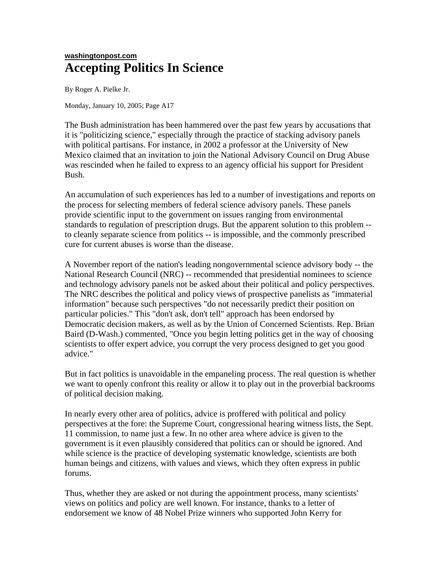## **washingtonpost.com Accepting Politics In Science**

By Roger A. Pielke Jr.

Monday, January 10, 2005; Page A17

The Bush administration has been hammered over the past few years by accusations that it is "politicizing science," especially through the practice of stacking advisory panels with political partisans. For instance, in 2002 a professor at the University of New Mexico claimed that an invitation to join the National Advisory Council on Drug Abuse was rescinded when he failed to express to an agency official his support for President Bush.

An accumulation of such experiences has led to a number of investigations and reports on the process for selecting members of federal science advisory panels. These panels provide scientific input to the government on issues ranging from environmental standards to regulation of prescription drugs. But the apparent solution to this problem - to cleanly separate science from politics -- is impossible, and the commonly prescribed cure for current abuses is worse than the disease.

A November report of the nation's leading nongovernmental science advisory body -- the National Research Council (NRC) -- recommended that presidential nominees to science and technology advisory panels not be asked about their political and policy perspectives. The NRC describes the political and policy views of prospective panelists as "immaterial information" because such perspectives "do not necessarily predict their position on particular policies." This "don't ask, don't tell" approach has been endorsed by Democratic decision makers, as well as by the Union of Concerned Scientists. Rep. Brian Baird (D-Wash.) commented, "Once you begin letting politics get in the way of choosing scientists to offer expert advice, you corrupt the very process designed to get you good advice."

But in fact politics is unavoidable in the empaneling process. The real question is whether we want to openly confront this reality or allow it to play out in the proverbial backrooms of political decision making.

In nearly every other area of politics, advice is proffered with political and policy perspectives at the fore: the Supreme Court, congressional hearing witness lists, the Sept. 11 commission, to name just a few. In no other area where advice is given to the government is it even plausibly considered that politics can or should be ignored. And while science is the practice of developing systematic knowledge, scientists are both human beings and citizens, with values and views, which they often express in public forums.

Thus, whether they are asked or not during the appointment process, many scientists' views on politics and policy are well known. For instance, thanks to a letter of endorsement we know of 48 Nobel Prize winners who supported John Kerry for